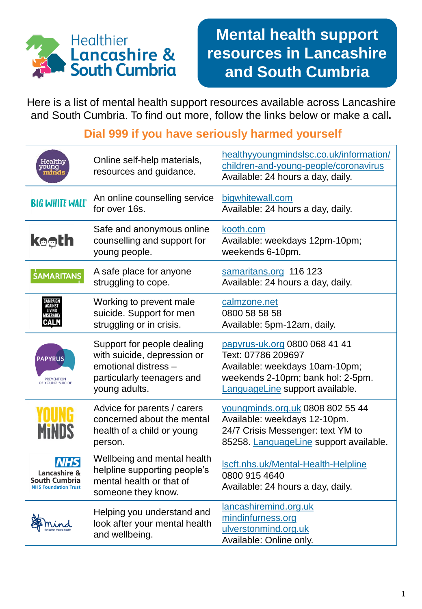

## **Mental health support resources in Lancashire and South Cumbria**

Here is a list of mental health support resources available across Lancashire and South Cumbria. To find out more, follow the links below or make a call**.**

## **Dial 999 if you have seriously harmed yourself**

| Healthy<br>young                                                           | Online self-help materials,<br>resources and guidance.                                                                           | healthyyoungmindslsc.co.uk/information/<br>children-and-young-people/coronavirus<br>Available: 24 hours a day, daily.                                         |
|----------------------------------------------------------------------------|----------------------------------------------------------------------------------------------------------------------------------|---------------------------------------------------------------------------------------------------------------------------------------------------------------|
| <b>BIG WHITE WALL®</b>                                                     | An online counselling service<br>for over 16s.                                                                                   | bigwhitewall.com<br>Available: 24 hours a day, daily.                                                                                                         |
| <b>ke⊕th</b>                                                               | Safe and anonymous online<br>counselling and support for<br>young people.                                                        | kooth.com<br>Available: weekdays 12pm-10pm;<br>weekends 6-10pm.                                                                                               |
| <b>SAMARITANS</b>                                                          | A safe place for anyone<br>struggling to cope.                                                                                   | samaritans.org 116 123<br>Available: 24 hours a day, daily.                                                                                                   |
| AGAINS'                                                                    | Working to prevent male<br>suicide. Support for men<br>struggling or in crisis.                                                  | calmzone.net<br>0800 58 58 58<br>Available: 5pm-12am, daily.                                                                                                  |
| <b>PAPYRUS</b><br><b>PREVENTION</b><br>OF YOUNG SUICIDE                    | Support for people dealing<br>with suicide, depression or<br>emotional distress -<br>particularly teenagers and<br>young adults. | papyrus-uk.org 0800 068 41 41<br>Text: 07786 209697<br>Available: weekdays 10am-10pm;<br>weekends 2-10pm; bank hol: 2-5pm.<br>LanguageLine support available. |
|                                                                            | Advice for parents / carers<br>concerned about the mental<br>health of a child or young<br>person.                               | voungminds.org.uk 0808 802 55 44<br>Available: weekdays 12-10pm.<br>24/7 Crisis Messenger: text YM to<br>85258. LanguageLine support available.               |
| <b>NHS</b><br>Lancashire &<br>South Cumbria<br><b>NHS Foundation Trust</b> | Wellbeing and mental health<br>helpline supporting people's<br>mental health or that of<br>someone they know.                    | Iscft.nhs.uk/Mental-Health-Helpline<br>0800 915 4640<br>Available: 24 hours a day, daily.                                                                     |
|                                                                            | Helping you understand and<br>look after your mental health<br>and wellbeing.                                                    | lancashiremind.org.uk<br>mindinfurness.org<br>ulverstonmind.org.uk<br>Available: Online only.                                                                 |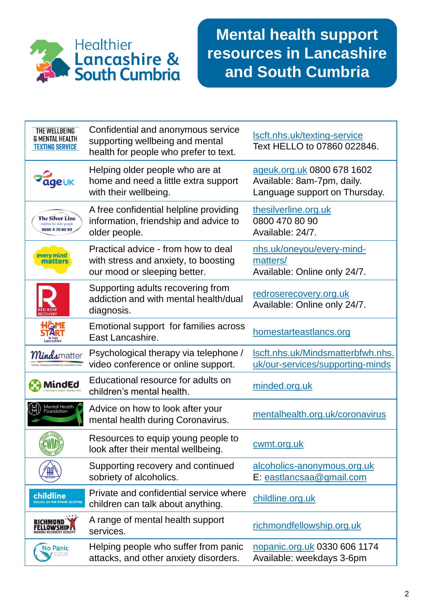

| THE WELLBEING<br><b>&amp; MENTAL HEALTH</b><br><b>TEXTING SERVICE</b>  | Confidential and anonymous service<br>supporting wellbeing and mental<br>health for people who prefer to text. | Iscft.nhs.uk/texting-service<br>Text HELLO to 07860 022846.                               |
|------------------------------------------------------------------------|----------------------------------------------------------------------------------------------------------------|-------------------------------------------------------------------------------------------|
| <b>geuk</b>                                                            | Helping older people who are at<br>home and need a little extra support<br>with their wellbeing.               | ageuk.org.uk 0800 678 1602<br>Available: 8am-7pm, daily.<br>Language support on Thursday. |
| <b>The Silver Line</b><br>helpline for older people<br>0800 4 70 80 90 | A free confidential helpline providing<br>information, friendship and advice to<br>older people.               | thesilverline.org.uk<br>0800 470 80 90<br>Available: 24/7.                                |
| every mind<br>matters                                                  | Practical advice - from how to deal<br>with stress and anxiety, to boosting<br>our mood or sleeping better.    | nhs.uk/oneyou/every-mind-<br>matters/<br>Available: Online only 24/7.                     |
|                                                                        | Supporting adults recovering from<br>addiction and with mental health/dual<br>diagnosis.                       | redroserecovery.org.uk<br>Available: Online only 24/7.                                    |
| HGME                                                                   | Emotional support for families across<br>East Lancashire.                                                      | homestarteastlancs.org                                                                    |
| <b>Minds</b> matter<br>Talking Therapies provided by Lancashire Care   | Psychological therapy via telephone /<br>video conference or online support.                                   | Iscft.nhs.uk/Mindsmatterbfwh.nhs.<br>uk/our-services/supporting-minds                     |
| MindEd                                                                 | Educational resource for adults on<br>children's mental health.                                                | minded.org.uk                                                                             |
| Mental Health<br>Foundation                                            | Advice on how to look after your<br>mental health during Coronavirus.                                          | mentalhealth.org.uk/coronavirus                                                           |
|                                                                        | Resources to equip young people to<br>look after their mental wellbeing.                                       | <u>cwmt.org.uk</u>                                                                        |
| THE                                                                    | Supporting recovery and continued<br>sobriety of alcoholics.                                                   | alcoholics-anonymous.org.uk<br>E: eastlancsaa@gmail.com                                   |
| childline<br>ONLINE, ON THE PHONE, ANYTIME                             | Private and confidential service where<br>children can talk about anything.                                    | childline.org.uk                                                                          |
| CHMOND<br><b>LOWSHIP</b>                                               | A range of mental health support<br>services.                                                                  | richmondfellowship.org.uk                                                                 |
| <b>No Panic</b>                                                        | Helping people who suffer from panic<br>attacks, and other anxiety disorders.                                  | nopanic.org.uk 0330 606 1174<br>Available: weekdays 3-6pm                                 |